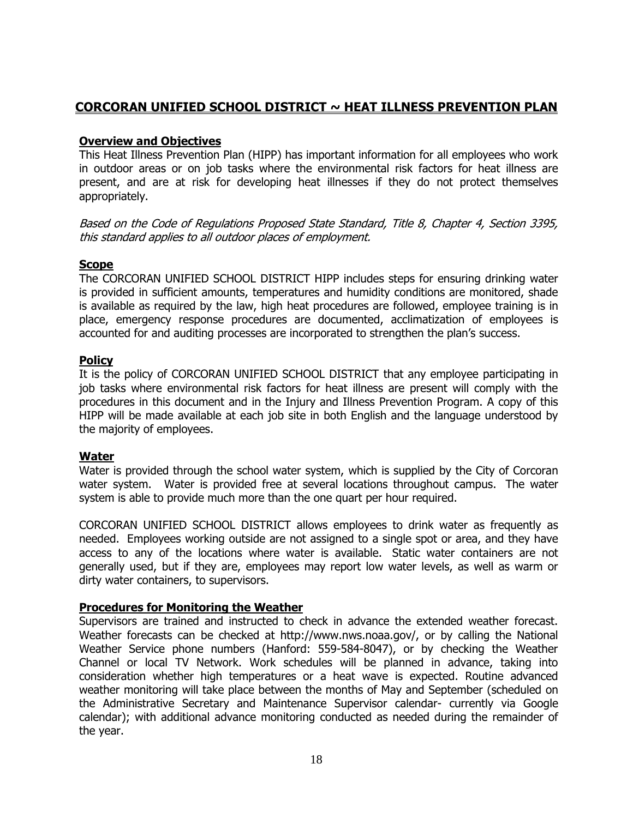# **CORCORAN UNIFIED SCHOOL DISTRICT ~ HEAT ILLNESS PREVENTION PLAN**

## **Overview and Objectives**

This Heat Illness Prevention Plan (HIPP) has important information for all employees who work in outdoor areas or on job tasks where the environmental risk factors for heat illness are present, and are at risk for developing heat illnesses if they do not protect themselves appropriately.

Based on the Code of Regulations Proposed State Standard, Title 8, Chapter 4, Section 3395, this standard applies to all outdoor places of employment.

### **Scope**

The CORCORAN UNIFIED SCHOOL DISTRICT HIPP includes steps for ensuring drinking water is provided in sufficient amounts, temperatures and humidity conditions are monitored, shade is available as required by the law, high heat procedures are followed, employee training is in place, emergency response procedures are documented, acclimatization of employees is accounted for and auditing processes are incorporated to strengthen the plan's success.

# **Policy**

It is the policy of CORCORAN UNIFIED SCHOOL DISTRICT that any employee participating in job tasks where environmental risk factors for heat illness are present will comply with the procedures in this document and in the Injury and Illness Prevention Program. A copy of this HIPP will be made available at each job site in both English and the language understood by the majority of employees.

### **Water**

Water is provided through the school water system, which is supplied by the City of Corcoran water system. Water is provided free at several locations throughout campus. The water system is able to provide much more than the one quart per hour required.

CORCORAN UNIFIED SCHOOL DISTRICT allows employees to drink water as frequently as needed. Employees working outside are not assigned to a single spot or area, and they have access to any of the locations where water is available. Static water containers are not generally used, but if they are, employees may report low water levels, as well as warm or dirty water containers, to supervisors.

# **Procedures for Monitoring the Weather**

Supervisors are trained and instructed to check in advance the extended weather forecast. Weather forecasts can be checked at http://www.nws.noaa.gov/, or by calling the National Weather Service phone numbers (Hanford: 559-584-8047), or by checking the Weather Channel or local TV Network. Work schedules will be planned in advance, taking into consideration whether high temperatures or a heat wave is expected. Routine advanced weather monitoring will take place between the months of May and September (scheduled on the Administrative Secretary and Maintenance Supervisor calendar- currently via Google calendar); with additional advance monitoring conducted as needed during the remainder of the year.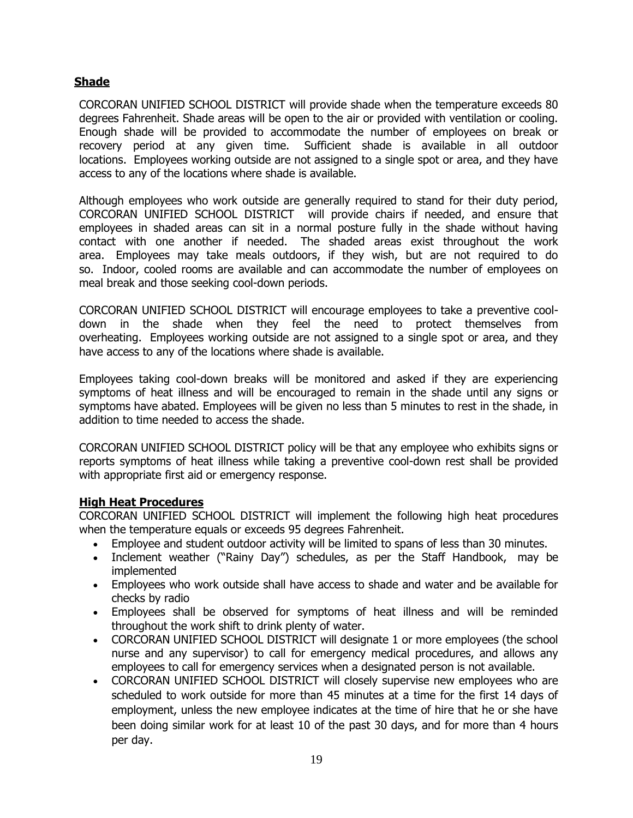## **Shade**

CORCORAN UNIFIED SCHOOL DISTRICT will provide shade when the temperature exceeds 80 degrees Fahrenheit. Shade areas will be open to the air or provided with ventilation or cooling. Enough shade will be provided to accommodate the number of employees on break or recovery period at any given time. Sufficient shade is available in all outdoor locations. Employees working outside are not assigned to a single spot or area, and they have access to any of the locations where shade is available.

Although employees who work outside are generally required to stand for their duty period, CORCORAN UNIFIED SCHOOL DISTRICT will provide chairs if needed, and ensure that employees in shaded areas can sit in a normal posture fully in the shade without having contact with one another if needed. The shaded areas exist throughout the work area. Employees may take meals outdoors, if they wish, but are not required to do so. Indoor, cooled rooms are available and can accommodate the number of employees on meal break and those seeking cool-down periods.

CORCORAN UNIFIED SCHOOL DISTRICT will encourage employees to take a preventive cooldown in the shade when they feel the need to protect themselves from overheating. Employees working outside are not assigned to a single spot or area, and they have access to any of the locations where shade is available.

Employees taking cool-down breaks will be monitored and asked if they are experiencing symptoms of heat illness and will be encouraged to remain in the shade until any signs or symptoms have abated. Employees will be given no less than 5 minutes to rest in the shade, in addition to time needed to access the shade.

CORCORAN UNIFIED SCHOOL DISTRICT policy will be that any employee who exhibits signs or reports symptoms of heat illness while taking a preventive cool-down rest shall be provided with appropriate first aid or emergency response.

### **High Heat Procedures**

CORCORAN UNIFIED SCHOOL DISTRICT will implement the following high heat procedures when the temperature equals or exceeds 95 degrees Fahrenheit.

- Employee and student outdoor activity will be limited to spans of less than 30 minutes.
- Inclement weather ("Rainy Day") schedules, as per the Staff Handbook, may be implemented
- Employees who work outside shall have access to shade and water and be available for checks by radio
- Employees shall be observed for symptoms of heat illness and will be reminded throughout the work shift to drink plenty of water.
- CORCORAN UNIFIED SCHOOL DISTRICT will designate 1 or more employees (the school nurse and any supervisor) to call for emergency medical procedures, and allows any employees to call for emergency services when a designated person is not available.
- CORCORAN UNIFIED SCHOOL DISTRICT will closely supervise new employees who are scheduled to work outside for more than 45 minutes at a time for the first 14 days of employment, unless the new employee indicates at the time of hire that he or she have been doing similar work for at least 10 of the past 30 days, and for more than 4 hours per day.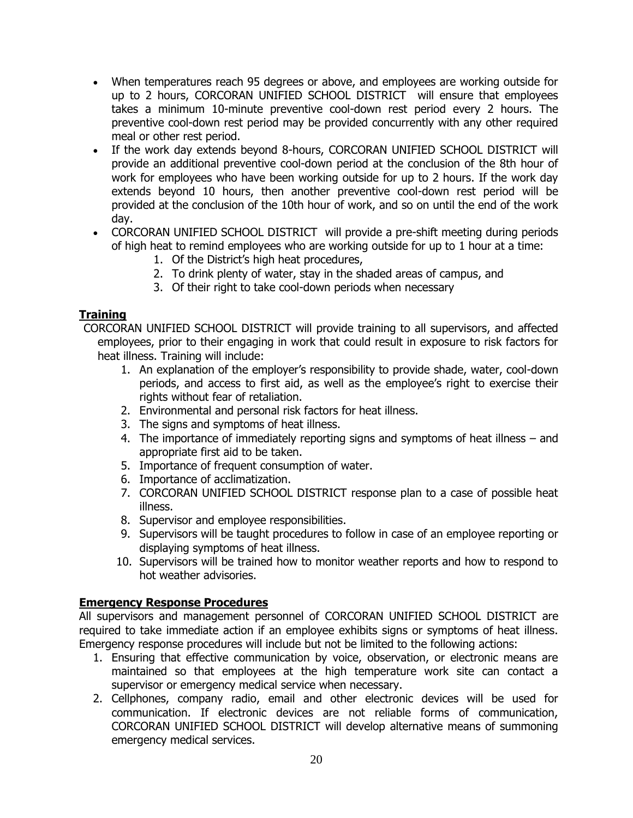- When temperatures reach 95 degrees or above, and employees are working outside for up to 2 hours, CORCORAN UNIFIED SCHOOL DISTRICT will ensure that employees takes a minimum 10-minute preventive cool-down rest period every 2 hours. The preventive cool-down rest period may be provided concurrently with any other required meal or other rest period.
- If the work day extends beyond 8-hours, CORCORAN UNIFIED SCHOOL DISTRICT will provide an additional preventive cool-down period at the conclusion of the 8th hour of work for employees who have been working outside for up to 2 hours. If the work day extends beyond 10 hours, then another preventive cool-down rest period will be provided at the conclusion of the 10th hour of work, and so on until the end of the work day.
- CORCORAN UNIFIED SCHOOL DISTRICT will provide a pre-shift meeting during periods of high heat to remind employees who are working outside for up to 1 hour at a time:
	- 1. Of the District's high heat procedures,
	- 2. To drink plenty of water, stay in the shaded areas of campus, and
	- 3. Of their right to take cool-down periods when necessary

# **Training**

CORCORAN UNIFIED SCHOOL DISTRICT will provide training to all supervisors, and affected employees, prior to their engaging in work that could result in exposure to risk factors for heat illness. Training will include:

- 1. An explanation of the employer's responsibility to provide shade, water, cool-down periods, and access to first aid, as well as the employee's right to exercise their rights without fear of retaliation.
- 2. Environmental and personal risk factors for heat illness.
- 3. The signs and symptoms of heat illness.
- 4. The importance of immediately reporting signs and symptoms of heat illness and appropriate first aid to be taken.
- 5. Importance of frequent consumption of water.
- 6. Importance of acclimatization.
- 7. CORCORAN UNIFIED SCHOOL DISTRICT response plan to a case of possible heat illness.
- 8. Supervisor and employee responsibilities.
- 9. Supervisors will be taught procedures to follow in case of an employee reporting or displaying symptoms of heat illness.
- 10. Supervisors will be trained how to monitor weather reports and how to respond to hot weather advisories.

# **Emergency Response Procedures**

All supervisors and management personnel of CORCORAN UNIFIED SCHOOL DISTRICT are required to take immediate action if an employee exhibits signs or symptoms of heat illness. Emergency response procedures will include but not be limited to the following actions:

- 1. Ensuring that effective communication by voice, observation, or electronic means are maintained so that employees at the high temperature work site can contact a supervisor or emergency medical service when necessary.
- 2. Cellphones, company radio, email and other electronic devices will be used for communication. If electronic devices are not reliable forms of communication, CORCORAN UNIFIED SCHOOL DISTRICT will develop alternative means of summoning emergency medical services.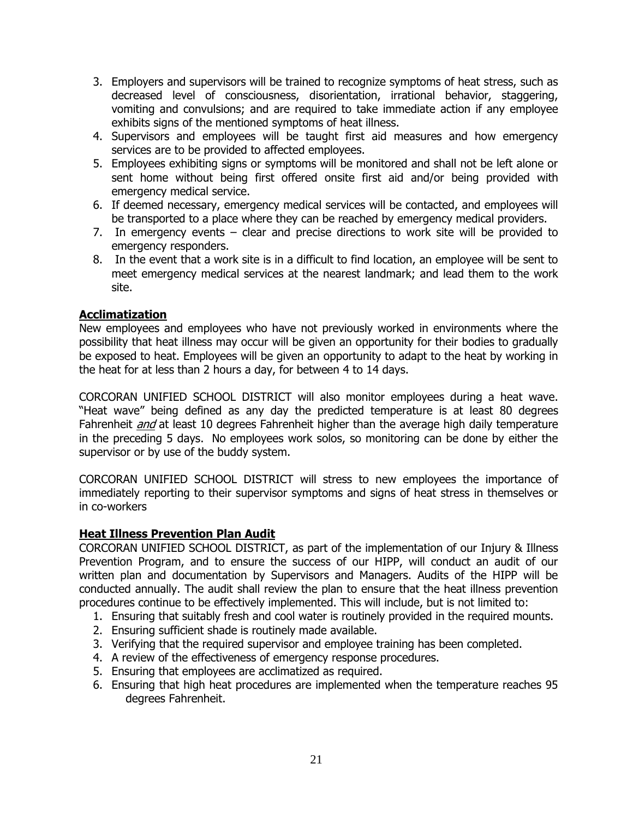- 3. Employers and supervisors will be trained to recognize symptoms of heat stress, such as decreased level of consciousness, disorientation, irrational behavior, staggering, vomiting and convulsions; and are required to take immediate action if any employee exhibits signs of the mentioned symptoms of heat illness.
- 4. Supervisors and employees will be taught first aid measures and how emergency services are to be provided to affected employees.
- 5. Employees exhibiting signs or symptoms will be monitored and shall not be left alone or sent home without being first offered onsite first aid and/or being provided with emergency medical service.
- 6. If deemed necessary, emergency medical services will be contacted, and employees will be transported to a place where they can be reached by emergency medical providers.
- 7. In emergency events clear and precise directions to work site will be provided to emergency responders.
- 8. In the event that a work site is in a difficult to find location, an employee will be sent to meet emergency medical services at the nearest landmark; and lead them to the work site.

### **Acclimatization**

New employees and employees who have not previously worked in environments where the possibility that heat illness may occur will be given an opportunity for their bodies to gradually be exposed to heat. Employees will be given an opportunity to adapt to the heat by working in the heat for at less than 2 hours a day, for between 4 to 14 days.

CORCORAN UNIFIED SCHOOL DISTRICT will also monitor employees during a heat wave. "Heat wave" being defined as any day the predicted temperature is at least 80 degrees Fahrenheit *and* at least 10 degrees Fahrenheit higher than the average high daily temperature in the preceding 5 days. No employees work solos, so monitoring can be done by either the supervisor or by use of the buddy system.

CORCORAN UNIFIED SCHOOL DISTRICT will stress to new employees the importance of immediately reporting to their supervisor symptoms and signs of heat stress in themselves or in co-workers

### **Heat Illness Prevention Plan Audit**

CORCORAN UNIFIED SCHOOL DISTRICT, as part of the implementation of our Injury & Illness Prevention Program, and to ensure the success of our HIPP, will conduct an audit of our written plan and documentation by Supervisors and Managers. Audits of the HIPP will be conducted annually. The audit shall review the plan to ensure that the heat illness prevention procedures continue to be effectively implemented. This will include, but is not limited to:

- 1. Ensuring that suitably fresh and cool water is routinely provided in the required mounts.
- 2. Ensuring sufficient shade is routinely made available.
- 3. Verifying that the required supervisor and employee training has been completed.
- 4. A review of the effectiveness of emergency response procedures.
- 5. Ensuring that employees are acclimatized as required.
- 6. Ensuring that high heat procedures are implemented when the temperature reaches 95 degrees Fahrenheit.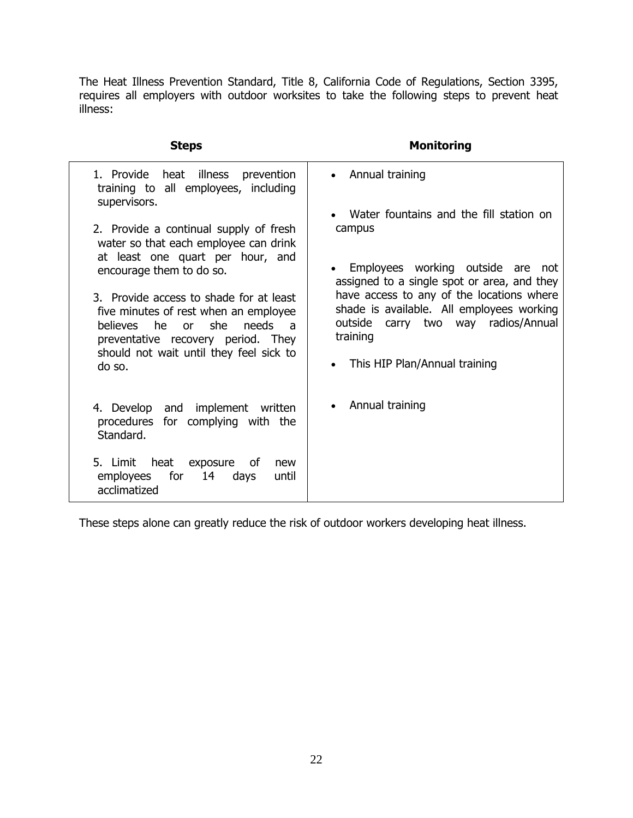The Heat Illness Prevention Standard, Title 8, California Code of Regulations, Section 3395, requires all employers with outdoor worksites to take the following steps to prevent heat illness:

| <b>Steps</b>                                                                                                                                                                                                             | <b>Monitoring</b>                                                                                                                            |
|--------------------------------------------------------------------------------------------------------------------------------------------------------------------------------------------------------------------------|----------------------------------------------------------------------------------------------------------------------------------------------|
| 1. Provide heat illness prevention<br>training to all employees, including<br>supervisors.                                                                                                                               | • Annual training                                                                                                                            |
| 2. Provide a continual supply of fresh<br>water so that each employee can drink                                                                                                                                          | Water fountains and the fill station on<br>campus                                                                                            |
| at least one quart per hour, and<br>encourage them to do so.                                                                                                                                                             | Employees working outside are not<br>assigned to a single spot or area, and they                                                             |
| 3. Provide access to shade for at least<br>five minutes of rest when an employee<br>he<br>or she<br>helieves<br>needs<br>$\overline{a}$<br>preventative recovery period. They<br>should not wait until they feel sick to | have access to any of the locations where<br>shade is available. All employees working<br>carry two way radios/Annual<br>outside<br>training |
| do so.                                                                                                                                                                                                                   | This HIP Plan/Annual training<br>$\bullet$                                                                                                   |
| 4. Develop and implement<br>written<br>procedures for complying with the<br>Standard.                                                                                                                                    | Annual training                                                                                                                              |
| 5. Limit heat exposure<br>of<br>new<br>for<br>14<br>employees<br>days<br>until<br>acclimatized                                                                                                                           |                                                                                                                                              |

These steps alone can greatly reduce the risk of outdoor workers developing heat illness.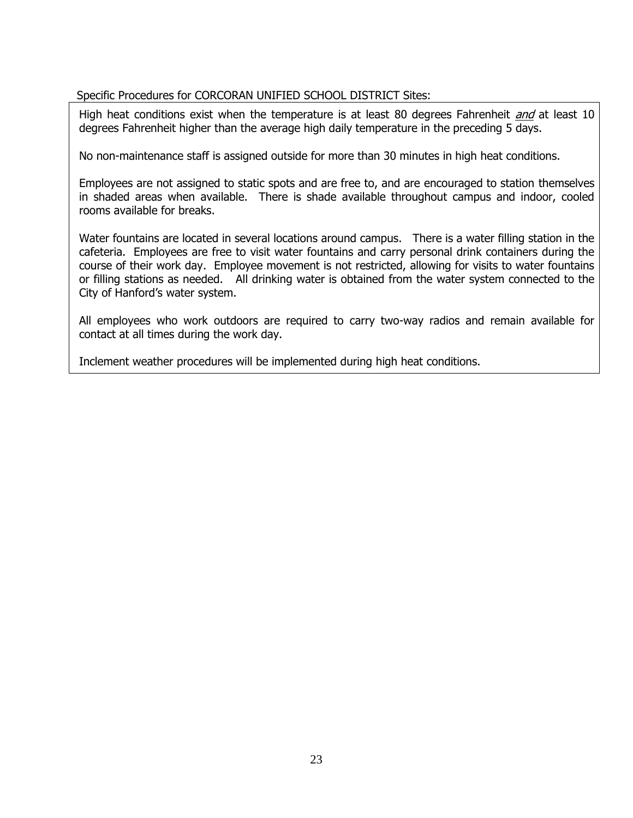# Specific Procedures for CORCORAN UNIFIED SCHOOL DISTRICT Sites:

High heat conditions exist when the temperature is at least 80 degrees Fahrenheit *and* at least 10 degrees Fahrenheit higher than the average high daily temperature in the preceding 5 days.

No non-maintenance staff is assigned outside for more than 30 minutes in high heat conditions.

Employees are not assigned to static spots and are free to, and are encouraged to station themselves in shaded areas when available. There is shade available throughout campus and indoor, cooled rooms available for breaks.

Water fountains are located in several locations around campus. There is a water filling station in the cafeteria. Employees are free to visit water fountains and carry personal drink containers during the course of their work day. Employee movement is not restricted, allowing for visits to water fountains or filling stations as needed. All drinking water is obtained from the water system connected to the City of Hanford's water system.

All employees who work outdoors are required to carry two-way radios and remain available for contact at all times during the work day.

Inclement weather procedures will be implemented during high heat conditions.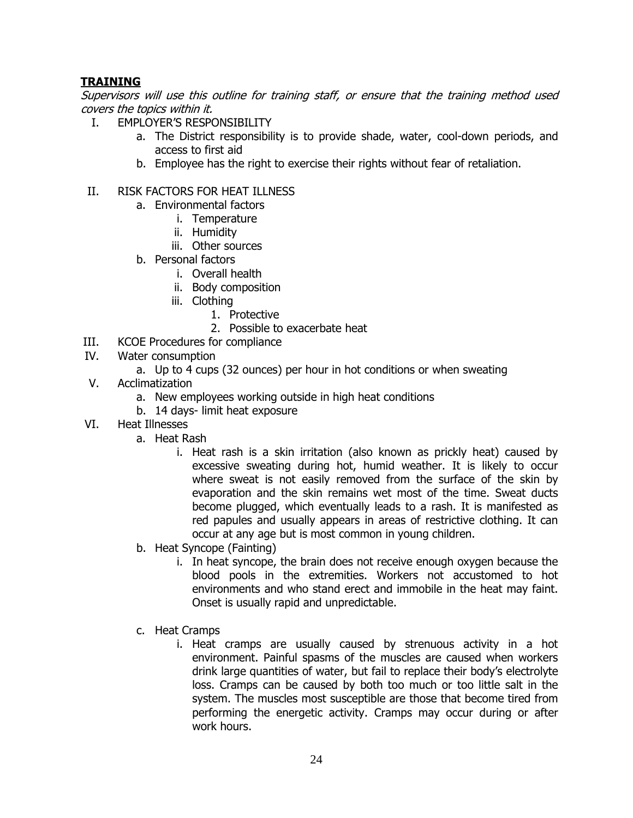# **TRAINING**

Supervisors will use this outline for training staff, or ensure that the training method used covers the topics within it.

- I. EMPLOYER'S RESPONSIBILITY
	- a. The District responsibility is to provide shade, water, cool-down periods, and access to first aid
	- b. Employee has the right to exercise their rights without fear of retaliation.

### II. RISK FACTORS FOR HEAT ILLNESS

- a. Environmental factors
	- i. Temperature
	- ii. Humidity
	- iii. Other sources
- b. Personal factors
	- i. Overall health
	- ii. Body composition
	- iii. Clothing
		- 1. Protective
		- 2. Possible to exacerbate heat
- III. KCOE Procedures for compliance

### IV. Water consumption

- a. Up to 4 cups (32 ounces) per hour in hot conditions or when sweating
- V. Acclimatization
	- a. New employees working outside in high heat conditions
	- b. 14 days- limit heat exposure
- VI. Heat Illnesses
	- a. Heat Rash
		- i. Heat rash is a skin irritation (also known as prickly heat) caused by excessive sweating during hot, humid weather. It is likely to occur where sweat is not easily removed from the surface of the skin by evaporation and the skin remains wet most of the time. Sweat ducts become plugged, which eventually leads to a rash. It is manifested as red papules and usually appears in areas of restrictive clothing. It can occur at any age but is most common in young children.
		- b. Heat Syncope (Fainting)
			- i. In heat syncope, the brain does not receive enough oxygen because the blood pools in the extremities. Workers not accustomed to hot environments and who stand erect and immobile in the heat may faint. Onset is usually rapid and unpredictable.
		- c. Heat Cramps
			- i. Heat cramps are usually caused by strenuous activity in a hot environment. Painful spasms of the muscles are caused when workers drink large quantities of water, but fail to replace their body's electrolyte loss. Cramps can be caused by both too much or too little salt in the system. The muscles most susceptible are those that become tired from performing the energetic activity. Cramps may occur during or after work hours.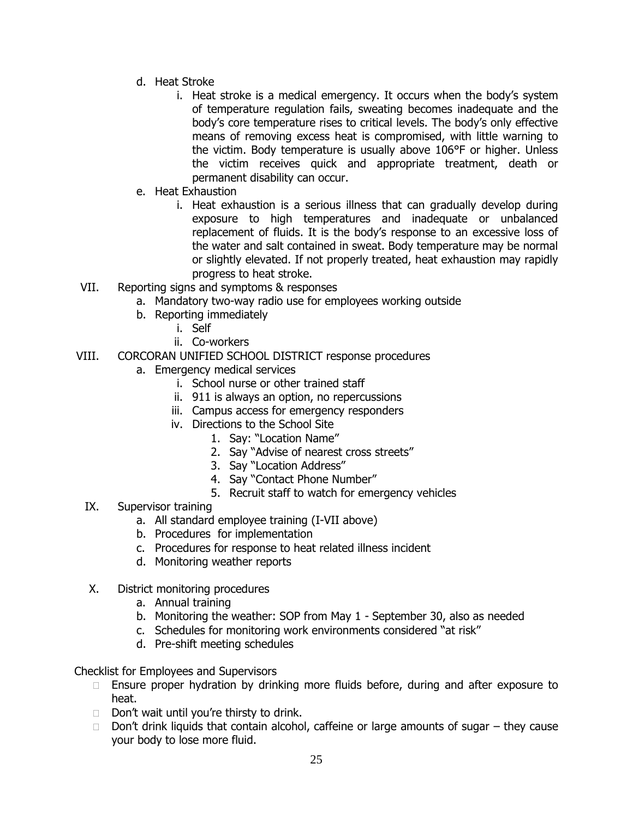- d. Heat Stroke
	- i. Heat stroke is a medical emergency. It occurs when the body's system of temperature regulation fails, sweating becomes inadequate and the body's core temperature rises to critical levels. The body's only effective means of removing excess heat is compromised, with little warning to the victim. Body temperature is usually above 106°F or higher. Unless the victim receives quick and appropriate treatment, death or permanent disability can occur.
- e. Heat Exhaustion
	- i. Heat exhaustion is a serious illness that can gradually develop during exposure to high temperatures and inadequate or unbalanced replacement of fluids. It is the body's response to an excessive loss of the water and salt contained in sweat. Body temperature may be normal or slightly elevated. If not properly treated, heat exhaustion may rapidly progress to heat stroke.
- VII. Reporting signs and symptoms & responses
	- a. Mandatory two-way radio use for employees working outside
		- b. Reporting immediately
			- i. Self
			- ii. Co-workers
- VIII. CORCORAN UNIFIED SCHOOL DISTRICT response procedures
	- a. Emergency medical services
		- i. School nurse or other trained staff
		- ii. 911 is always an option, no repercussions
		- iii. Campus access for emergency responders
		- iv. Directions to the School Site
			- 1. Say: "Location Name"
			- 2. Say "Advise of nearest cross streets"
			- 3. Say "Location Address"
			- 4. Say "Contact Phone Number"
			- 5. Recruit staff to watch for emergency vehicles
	- IX. Supervisor training
		- a. All standard employee training (I-VII above)
		- b. Procedures for implementation
		- c. Procedures for response to heat related illness incident
		- d. Monitoring weather reports
	- X. District monitoring procedures
		- a. Annual training
		- b. Monitoring the weather: SOP from May 1 September 30, also as needed
		- c. Schedules for monitoring work environments considered "at risk"
		- d. Pre-shift meeting schedules

Checklist for Employees and Supervisors

- $\Box$  Ensure proper hydration by drinking more fluids before, during and after exposure to heat.
- $\Box$  Don't wait until you're thirsty to drink.
- $\Box$  Don't drink liquids that contain alcohol, caffeine or large amounts of sugar  $-$  they cause your body to lose more fluid.